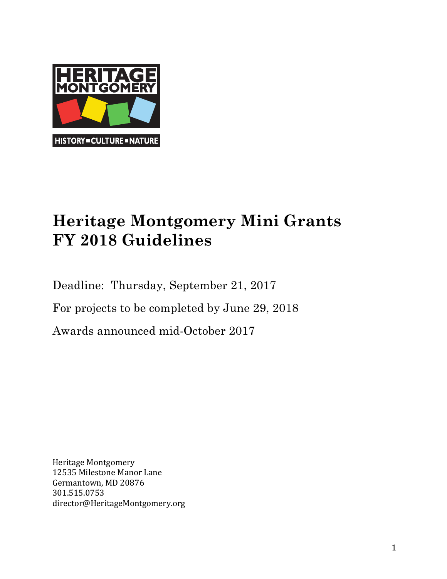

# **Heritage Montgomery Mini Grants FY 2018 Guidelines**

Deadline: Thursday, September 21, 2017

For projects to be completed by June 29, 2018

Awards announced mid-October 2017

Heritage Montgomery 12535 Milestone Manor Lane Germantown, MD 20876 301.515.0753 director@HeritageMontgomery.org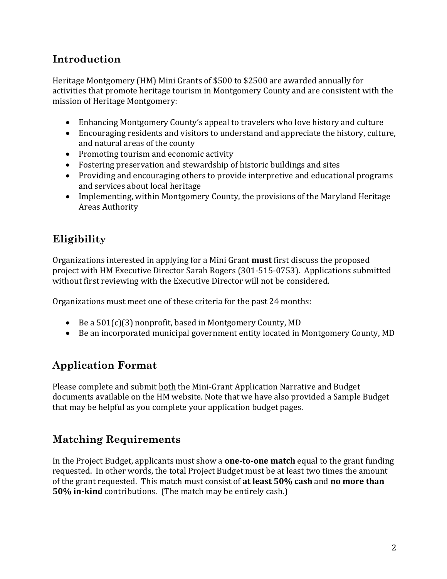### **Introduction**

Heritage Montgomery (HM) Mini Grants of \$500 to \$2500 are awarded annually for activities that promote heritage tourism in Montgomery County and are consistent with the mission of Heritage Montgomery:

- Enhancing Montgomery County's appeal to travelers who love history and culture
- Encouraging residents and visitors to understand and appreciate the history, culture, and natural areas of the county
- Promoting tourism and economic activity
- Fostering preservation and stewardship of historic buildings and sites
- Providing and encouraging others to provide interpretive and educational programs and services about local heritage
- Implementing, within Montgomery County, the provisions of the Maryland Heritage Areas Authority

# **Eligibility**

Organizations interested in applying for a Mini Grant **must** first discuss the proposed project with HM Executive Director Sarah Rogers (301-515-0753). Applications submitted without first reviewing with the Executive Director will not be considered.

Organizations must meet one of these criteria for the past 24 months:

- Be a  $501(c)(3)$  nonprofit, based in Montgomery County, MD
- Be an incorporated municipal government entity located in Montgomery County, MD

# **Application Format**

Please complete and submit both the Mini-Grant Application Narrative and Budget documents available on the HM website. Note that we have also provided a Sample Budget that may be helpful as you complete your application budget pages.

#### **Matching Requirements**

In the Project Budget, applicants must show a **one-to-one match** equal to the grant funding requested. In other words, the total Project Budget must be at least two times the amount of the grant requested. This match must consist of at least 50% cash and no more than **50% in-kind** contributions. (The match may be entirely cash.)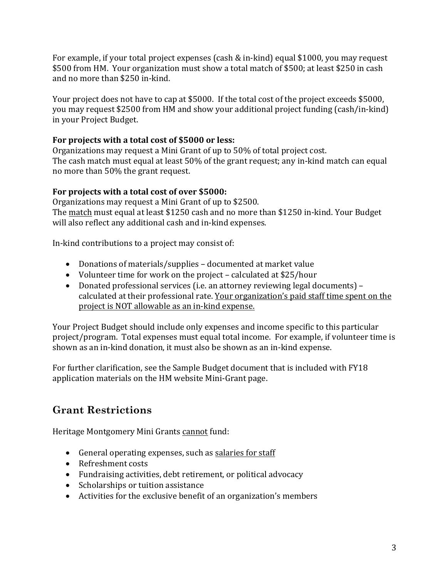For example, if your total project expenses (cash & in-kind) equal \$1000, you may request \$500 from HM. Your organization must show a total match of \$500; at least \$250 in cash and no more than \$250 in-kind.

Your project does not have to cap at \$5000. If the total cost of the project exceeds \$5000, you may request \$2500 from HM and show your additional project funding (cash/in-kind) in your Project Budget.

#### For projects with a total cost of \$5000 or less:

Organizations may request a Mini Grant of up to 50% of total project cost. The cash match must equal at least 50% of the grant request; any in-kind match can equal no more than 50% the grant request.

#### For projects with a total cost of over \$5000:

Organizations may request a Mini Grant of up to \$2500. The match must equal at least \$1250 cash and no more than \$1250 in-kind. Your Budget will also reflect any additional cash and in-kind expenses.

In-kind contributions to a project may consist of:

- Donations of materials/supplies documented at market value
- Volunteer time for work on the project calculated at  $$25/hour$
- Donated professional services (i.e. an attorney reviewing legal documents) calculated at their professional rate. Your organization's paid staff time spent on the project is NOT allowable as an in-kind expense.

Your Project Budget should include only expenses and income specific to this particular project/program. Total expenses must equal total income. For example, if volunteer time is shown as an in-kind donation, it must also be shown as an in-kind expense.

For further clarification, see the Sample Budget document that is included with FY18 application materials on the HM website Mini-Grant page.

# **Grant Restrictions**

Heritage Montgomery Mini Grants cannot fund:

- General operating expenses, such as salaries for staff
- Refreshment costs
- Fundraising activities, debt retirement, or political advocacy
- Scholarships or tuition assistance
- $\bullet$  Activities for the exclusive benefit of an organization's members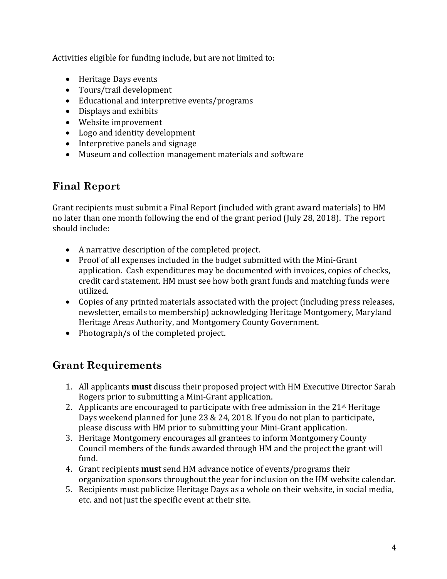Activities eligible for funding include, but are not limited to:

- Heritage Days events
- Tours/trail development
- Educational and interpretive events/programs
- Displays and exhibits
- Website improvement
- Logo and identity development
- Interpretive panels and signage
- Museum and collection management materials and software

#### **Final Report**

Grant recipients must submit a Final Report (included with grant award materials) to HM no later than one month following the end of the grant period (July 28, 2018). The report should include:

- A narrative description of the completed project.
- Proof of all expenses included in the budget submitted with the Mini-Grant application. Cash expenditures may be documented with invoices, copies of checks, credit card statement. HM must see how both grant funds and matching funds were utilized.
- Copies of any printed materials associated with the project (including press releases, newsletter, emails to membership) acknowledging Heritage Montgomery, Maryland Heritage Areas Authority, and Montgomery County Government.
- Photograph/s of the completed project.

#### **Grant Requirements**

- 1. All applicants **must** discuss their proposed project with HM Executive Director Sarah Rogers prior to submitting a Mini-Grant application.
- 2. Applicants are encouraged to participate with free admission in the  $21^{st}$  Heritage Days weekend planned for June 23 & 24, 2018. If you do not plan to participate, please discuss with HM prior to submitting your Mini-Grant application.
- 3. Heritage Montgomery encourages all grantees to inform Montgomery County Council members of the funds awarded through HM and the project the grant will fund.
- 4. Grant recipients **must** send HM advance notice of events/programs their organization sponsors throughout the year for inclusion on the HM website calendar.
- 5. Recipients must publicize Heritage Days as a whole on their website, in social media, etc. and not just the specific event at their site.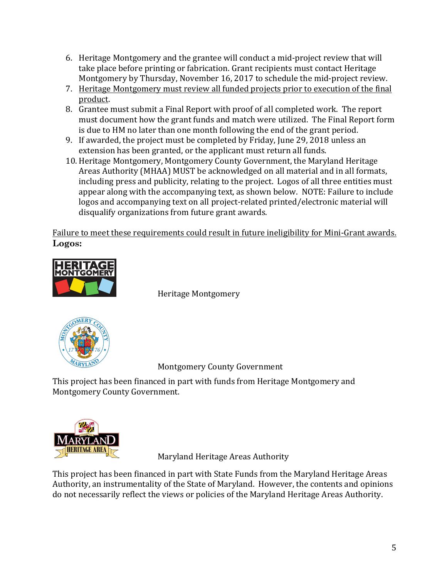- 6. Heritage Montgomery and the grantee will conduct a mid-project review that will take place before printing or fabrication. Grant recipients must contact Heritage Montgomery by Thursday, November 16, 2017 to schedule the mid-project review.
- 7. Heritage Montgomery must review all funded projects prior to execution of the final product.
- 8. Grantee must submit a Final Report with proof of all completed work. The report must document how the grant funds and match were utilized. The Final Report form is due to HM no later than one month following the end of the grant period.
- 9. If awarded, the project must be completed by Friday, June 29, 2018 unless an extension has been granted, or the applicant must return all funds.
- 10. Heritage Montgomery, Montgomery County Government, the Maryland Heritage Areas Authority (MHAA) MUST be acknowledged on all material and in all formats, including press and publicity, relating to the project. Logos of all three entities must appear along with the accompanying text, as shown below. NOTE: Failure to include logos and accompanying text on all project-related printed/electronic material will disqualify organizations from future grant awards.

Failure to meet these requirements could result in future ineligibility for Mini-Grant awards. **Logos:**



Heritage Montgomery



Montgomery County Government

This project has been financed in part with funds from Heritage Montgomery and Montgomery County Government.



Maryland Heritage Areas Authority

This project has been financed in part with State Funds from the Maryland Heritage Areas Authority, an instrumentality of the State of Maryland. However, the contents and opinions do not necessarily reflect the views or policies of the Maryland Heritage Areas Authority.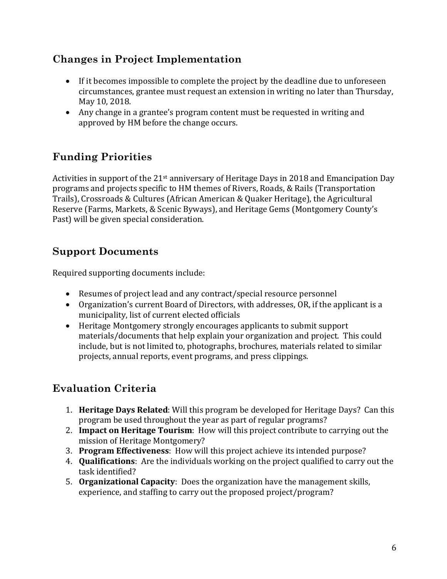### **Changes in Project Implementation**

- If it becomes impossible to complete the project by the deadline due to unforeseen circumstances, grantee must request an extension in writing no later than Thursday, May 10, 2018.
- Any change in a grantee's program content must be requested in writing and approved by HM before the change occurs.

## **Funding Priorities**

Activities in support of the  $21^{st}$  anniversary of Heritage Days in 2018 and Emancipation Day programs and projects specific to HM themes of Rivers, Roads, & Rails (Transportation Trails), Crossroads & Cultures (African American & Quaker Heritage), the Agricultural Reserve (Farms, Markets, & Scenic Byways), and Heritage Gems (Montgomery County's Past) will be given special consideration.

#### **Support Documents**

Required supporting documents include:

- Resumes of project lead and any contract/special resource personnel
- Organization's current Board of Directors, with addresses, OR, if the applicant is a municipality, list of current elected officials
- Heritage Montgomery strongly encourages applicants to submit support materials/documents that help explain your organization and project. This could include, but is not limited to, photographs, brochures, materials related to similar projects, annual reports, event programs, and press clippings.

#### **Evaluation Criteria**

- 1. **Heritage Days Related**: Will this program be developed for Heritage Days? Can this program be used throughout the year as part of regular programs?
- 2. **Impact on Heritage Tourism**: How will this project contribute to carrying out the mission of Heritage Montgomery?
- 3. **Program Effectiveness**: How will this project achieve its intended purpose?
- 4. **Qualifications**: Are the individuals working on the project qualified to carry out the task identified?
- **5. Organizational Capacity**: Does the organization have the management skills, experience, and staffing to carry out the proposed project/program?